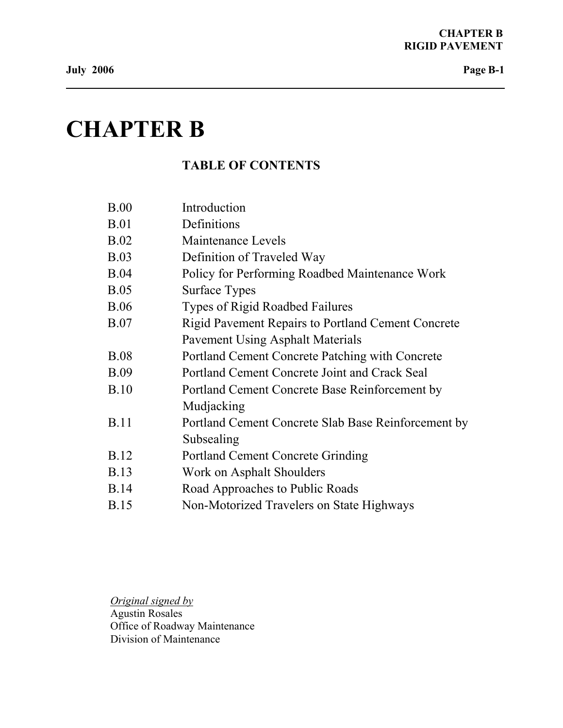# **CHAPTER B**

# **TABLE OF CONTENTS**

| B.00        | Introduction                                        |
|-------------|-----------------------------------------------------|
| <b>B.01</b> | Definitions                                         |
| B.02        | Maintenance Levels                                  |
| B.03        | Definition of Traveled Way                          |
| B.04        | Policy for Performing Roadbed Maintenance Work      |
| B.05        | <b>Surface Types</b>                                |
| <b>B.06</b> | <b>Types of Rigid Roadbed Failures</b>              |
| <b>B.07</b> | Rigid Pavement Repairs to Portland Cement Concrete  |
|             | <b>Pavement Using Asphalt Materials</b>             |
| <b>B.08</b> | Portland Cement Concrete Patching with Concrete     |
| <b>B.09</b> | Portland Cement Concrete Joint and Crack Seal       |
| B.10        | Portland Cement Concrete Base Reinforcement by      |
|             | Mudjacking                                          |
| <b>B.11</b> | Portland Cement Concrete Slab Base Reinforcement by |
|             | Subsealing                                          |
| <b>B.12</b> | <b>Portland Cement Concrete Grinding</b>            |
| <b>B.13</b> | Work on Asphalt Shoulders                           |
| <b>B.14</b> | Road Approaches to Public Roads                     |
| <b>B.15</b> | Non-Motorized Travelers on State Highways           |

*Original signed by* Agustin Rosales Office of Roadway Maintenance Division of Maintenance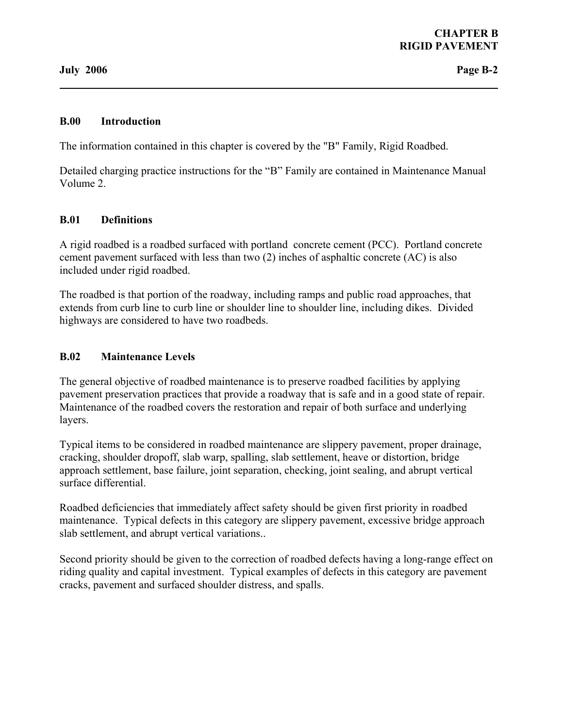#### **B.00 Introduction**

The information contained in this chapter is covered by the "B" Family, Rigid Roadbed.

Detailed charging practice instructions for the "B" Family are contained in Maintenance Manual Volume 2.

#### **B.01 Definitions**

A rigid roadbed is a roadbed surfaced with portland concrete cement (PCC). Portland concrete cement pavement surfaced with less than two (2) inches of asphaltic concrete (AC) is also included under rigid roadbed.

The roadbed is that portion of the roadway, including ramps and public road approaches, that extends from curb line to curb line or shoulder line to shoulder line, including dikes. Divided highways are considered to have two roadbeds.

#### **B.02 Maintenance Levels**

The general objective of roadbed maintenance is to preserve roadbed facilities by applying pavement preservation practices that provide a roadway that is safe and in a good state of repair. Maintenance of the roadbed covers the restoration and repair of both surface and underlying layers.

Typical items to be considered in roadbed maintenance are slippery pavement, proper drainage, cracking, shoulder dropoff, slab warp, spalling, slab settlement, heave or distortion, bridge approach settlement, base failure, joint separation, checking, joint sealing, and abrupt vertical surface differential.

Roadbed deficiencies that immediately affect safety should be given first priority in roadbed maintenance. Typical defects in this category are slippery pavement, excessive bridge approach slab settlement, and abrupt vertical variations..

Second priority should be given to the correction of roadbed defects having a long-range effect on riding quality and capital investment. Typical examples of defects in this category are pavement cracks, pavement and surfaced shoulder distress, and spalls.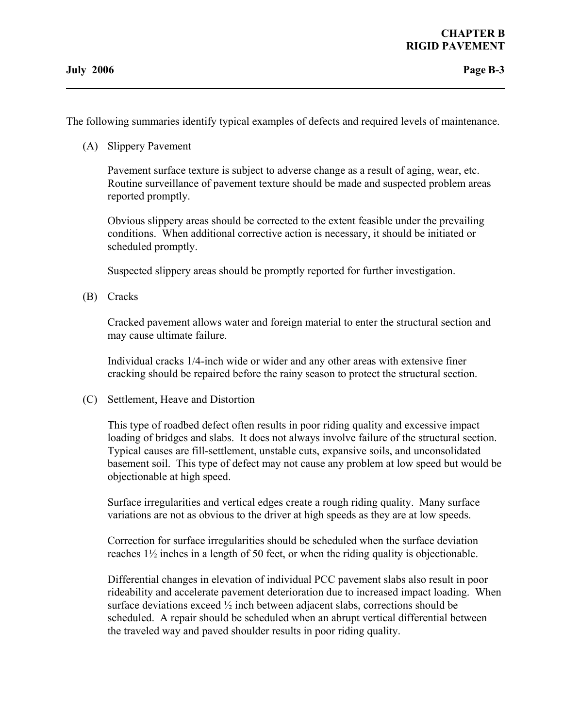The following summaries identify typical examples of defects and required levels of maintenance.

(A) Slippery Pavement

 Pavement surface texture is subject to adverse change as a result of aging, wear, etc. Routine surveillance of pavement texture should be made and suspected problem areas reported promptly.

 Obvious slippery areas should be corrected to the extent feasible under the prevailing conditions. When additional corrective action is necessary, it should be initiated or scheduled promptly.

Suspected slippery areas should be promptly reported for further investigation.

(B) Cracks

 Cracked pavement allows water and foreign material to enter the structural section and may cause ultimate failure.

 Individual cracks 1/4-inch wide or wider and any other areas with extensive finer cracking should be repaired before the rainy season to protect the structural section.

(C) Settlement, Heave and Distortion

 This type of roadbed defect often results in poor riding quality and excessive impact loading of bridges and slabs. It does not always involve failure of the structural section. Typical causes are fill-settlement, unstable cuts, expansive soils, and unconsolidated basement soil. This type of defect may not cause any problem at low speed but would be objectionable at high speed.

 Surface irregularities and vertical edges create a rough riding quality. Many surface variations are not as obvious to the driver at high speeds as they are at low speeds.

 Correction for surface irregularities should be scheduled when the surface deviation reaches 1½ inches in a length of 50 feet, or when the riding quality is objectionable.

 Differential changes in elevation of individual PCC pavement slabs also result in poor rideability and accelerate pavement deterioration due to increased impact loading. When surface deviations exceed  $\frac{1}{2}$  inch between adjacent slabs, corrections should be scheduled. A repair should be scheduled when an abrupt vertical differential between the traveled way and paved shoulder results in poor riding quality.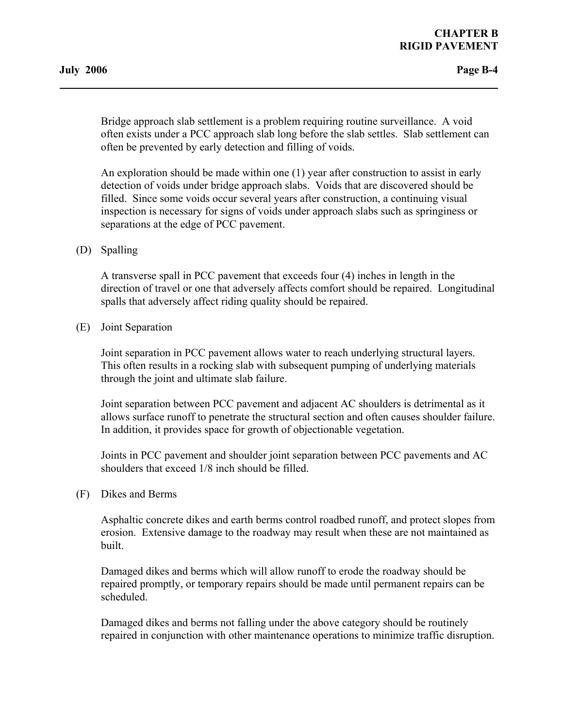Bridge approach slab settlement is a problem requiring routine surveillance. A void often exists under a PCC approach slab long before the slab settles. Slab settlement can often be prevented by early detection and filling of voids.

 An exploration should be made within one (1) year after construction to assist in early detection of voids under bridge approach slabs. Voids that are discovered should be filled. Since some voids occur several years after construction, a continuing visual inspection is necessary for signs of voids under approach slabs such as springiness or separations at the edge of PCC pavement.

(D) Spalling

 A transverse spall in PCC pavement that exceeds four (4) inches in length in the direction of travel or one that adversely affects comfort should be repaired. Longitudinal spalls that adversely affect riding quality should be repaired.

(E) Joint Separation

 Joint separation in PCC pavement allows water to reach underlying structural layers. This often results in a rocking slab with subsequent pumping of underlying materials through the joint and ultimate slab failure.

 Joint separation between PCC pavement and adjacent AC shoulders is detrimental as it allows surface runoff to penetrate the structural section and often causes shoulder failure. In addition, it provides space for growth of objectionable vegetation.

 Joints in PCC pavement and shoulder joint separation between PCC pavements and AC shoulders that exceed 1/8 inch should be filled.

(F) Dikes and Berms

 Asphaltic concrete dikes and earth berms control roadbed runoff, and protect slopes from erosion. Extensive damage to the roadway may result when these are not maintained as built.

 Damaged dikes and berms which will allow runoff to erode the roadway should be repaired promptly, or temporary repairs should be made until permanent repairs can be scheduled.

 Damaged dikes and berms not falling under the above category should be routinely repaired in conjunction with other maintenance operations to minimize traffic disruption.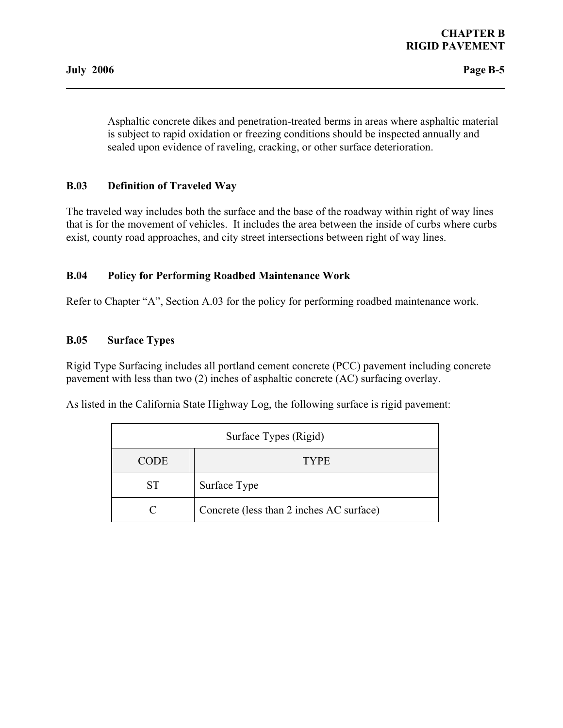Asphaltic concrete dikes and penetration-treated berms in areas where asphaltic material is subject to rapid oxidation or freezing conditions should be inspected annually and sealed upon evidence of raveling, cracking, or other surface deterioration.

# **B.03 Definition of Traveled Way**

The traveled way includes both the surface and the base of the roadway within right of way lines that is for the movement of vehicles. It includes the area between the inside of curbs where curbs exist, county road approaches, and city street intersections between right of way lines.

#### **B.04 Policy for Performing Roadbed Maintenance Work**

Refer to Chapter "A", Section A.03 for the policy for performing roadbed maintenance work.

#### **B.05 Surface Types**

Rigid Type Surfacing includes all portland cement concrete (PCC) pavement including concrete pavement with less than two (2) inches of asphaltic concrete (AC) surfacing overlay.

As listed in the California State Highway Log, the following surface is rigid pavement:

| Surface Types (Rigid) |                                          |  |
|-----------------------|------------------------------------------|--|
| <b>CODE</b>           | <b>TYPE</b>                              |  |
| <b>ST</b>             | Surface Type                             |  |
|                       | Concrete (less than 2 inches AC surface) |  |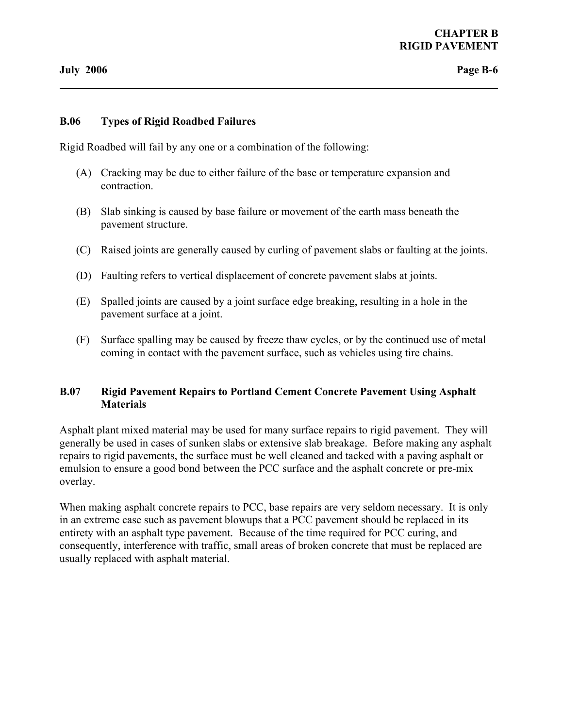#### **B.06 Types of Rigid Roadbed Failures**

Rigid Roadbed will fail by any one or a combination of the following:

- (A) Cracking may be due to either failure of the base or temperature expansion and contraction.
- (B) Slab sinking is caused by base failure or movement of the earth mass beneath the pavement structure.
- (C) Raised joints are generally caused by curling of pavement slabs or faulting at the joints.
- (D) Faulting refers to vertical displacement of concrete pavement slabs at joints.
- (E) Spalled joints are caused by a joint surface edge breaking, resulting in a hole in the pavement surface at a joint.
- (F) Surface spalling may be caused by freeze thaw cycles, or by the continued use of metal coming in contact with the pavement surface, such as vehicles using tire chains.

#### **B.07 Rigid Pavement Repairs to Portland Cement Concrete Pavement Using Asphalt Materials**

Asphalt plant mixed material may be used for many surface repairs to rigid pavement. They will generally be used in cases of sunken slabs or extensive slab breakage. Before making any asphalt repairs to rigid pavements, the surface must be well cleaned and tacked with a paving asphalt or emulsion to ensure a good bond between the PCC surface and the asphalt concrete or pre-mix overlay.

When making asphalt concrete repairs to PCC, base repairs are very seldom necessary. It is only in an extreme case such as pavement blowups that a PCC pavement should be replaced in its entirety with an asphalt type pavement. Because of the time required for PCC curing, and consequently, interference with traffic, small areas of broken concrete that must be replaced are usually replaced with asphalt material.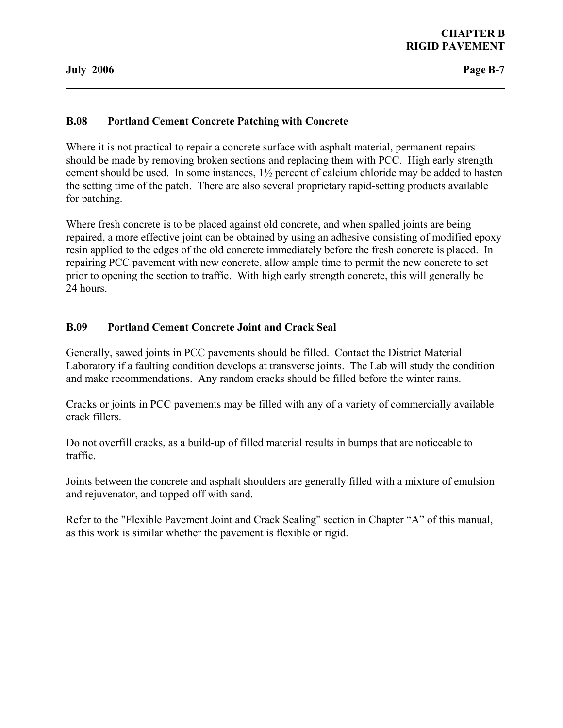### **B.08 Portland Cement Concrete Patching with Concrete**

Where it is not practical to repair a concrete surface with asphalt material, permanent repairs should be made by removing broken sections and replacing them with PCC. High early strength cement should be used. In some instances, 1½ percent of calcium chloride may be added to hasten the setting time of the patch. There are also several proprietary rapid-setting products available for patching.

Where fresh concrete is to be placed against old concrete, and when spalled joints are being repaired, a more effective joint can be obtained by using an adhesive consisting of modified epoxy resin applied to the edges of the old concrete immediately before the fresh concrete is placed. In repairing PCC pavement with new concrete, allow ample time to permit the new concrete to set prior to opening the section to traffic. With high early strength concrete, this will generally be 24 hours.

#### **B.09 Portland Cement Concrete Joint and Crack Seal**

Generally, sawed joints in PCC pavements should be filled. Contact the District Material Laboratory if a faulting condition develops at transverse joints. The Lab will study the condition and make recommendations. Any random cracks should be filled before the winter rains.

Cracks or joints in PCC pavements may be filled with any of a variety of commercially available crack fillers.

Do not overfill cracks, as a build-up of filled material results in bumps that are noticeable to traffic.

Joints between the concrete and asphalt shoulders are generally filled with a mixture of emulsion and rejuvenator, and topped off with sand.

Refer to the "Flexible Pavement Joint and Crack Sealing" section in Chapter "A" of this manual, as this work is similar whether the pavement is flexible or rigid.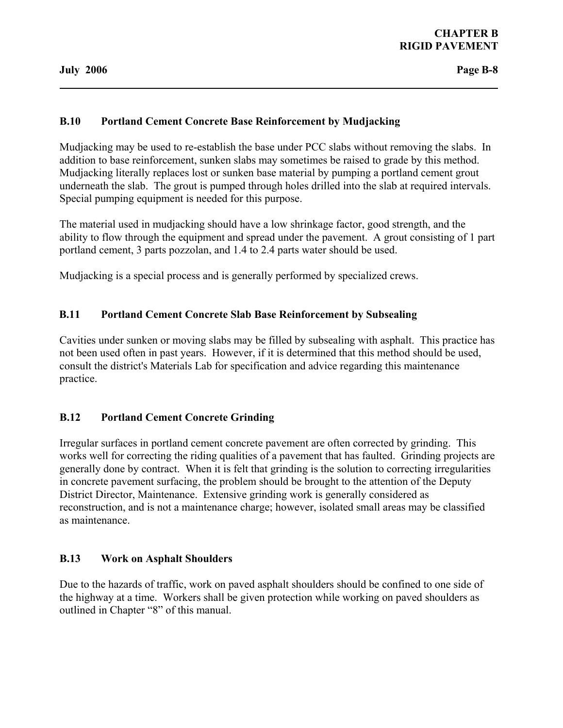# **B.10 Portland Cement Concrete Base Reinforcement by Mudjacking**

Mudjacking may be used to re-establish the base under PCC slabs without removing the slabs. In addition to base reinforcement, sunken slabs may sometimes be raised to grade by this method. Mudjacking literally replaces lost or sunken base material by pumping a portland cement grout underneath the slab. The grout is pumped through holes drilled into the slab at required intervals. Special pumping equipment is needed for this purpose.

The material used in mudjacking should have a low shrinkage factor, good strength, and the ability to flow through the equipment and spread under the pavement. A grout consisting of 1 part portland cement, 3 parts pozzolan, and 1.4 to 2.4 parts water should be used.

Mudjacking is a special process and is generally performed by specialized crews.

# **B.11 Portland Cement Concrete Slab Base Reinforcement by Subsealing**

Cavities under sunken or moving slabs may be filled by subsealing with asphalt. This practice has not been used often in past years. However, if it is determined that this method should be used, consult the district's Materials Lab for specification and advice regarding this maintenance practice.

# **B.12 Portland Cement Concrete Grinding**

Irregular surfaces in portland cement concrete pavement are often corrected by grinding. This works well for correcting the riding qualities of a pavement that has faulted. Grinding projects are generally done by contract. When it is felt that grinding is the solution to correcting irregularities in concrete pavement surfacing, the problem should be brought to the attention of the Deputy District Director, Maintenance. Extensive grinding work is generally considered as reconstruction, and is not a maintenance charge; however, isolated small areas may be classified as maintenance.

#### **B.13 Work on Asphalt Shoulders**

Due to the hazards of traffic, work on paved asphalt shoulders should be confined to one side of the highway at a time. Workers shall be given protection while working on paved shoulders as outlined in Chapter "8" of this manual.